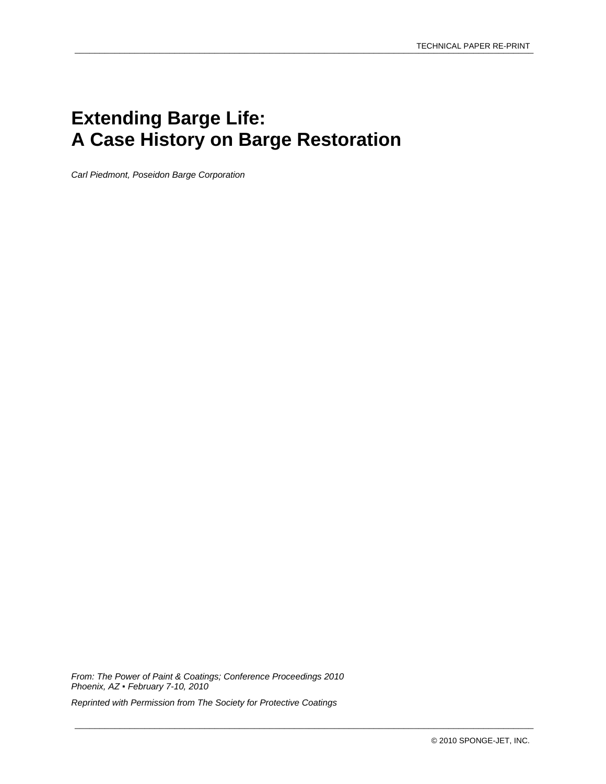# **Extending Barge Life: A Case History on Barge Restoration**

*Carl Piedmont, Poseidon Barge Corporation* 

*From: The Power of Paint & Coatings; Conference Proceedings 2010 Phoenix, AZ ▪ February 7-10, 2010* 

*Reprinted with Permission from The Society for Protective Coatings* 

\_\_\_\_\_\_\_\_\_\_\_\_\_\_\_\_\_\_\_\_\_\_\_\_\_\_\_\_\_\_\_\_\_\_\_\_\_\_\_\_\_\_\_\_\_\_\_\_\_\_\_\_\_\_\_\_\_\_\_\_\_\_\_\_\_\_\_\_\_\_\_\_\_\_\_\_\_\_\_\_\_\_\_\_\_\_\_\_\_\_\_\_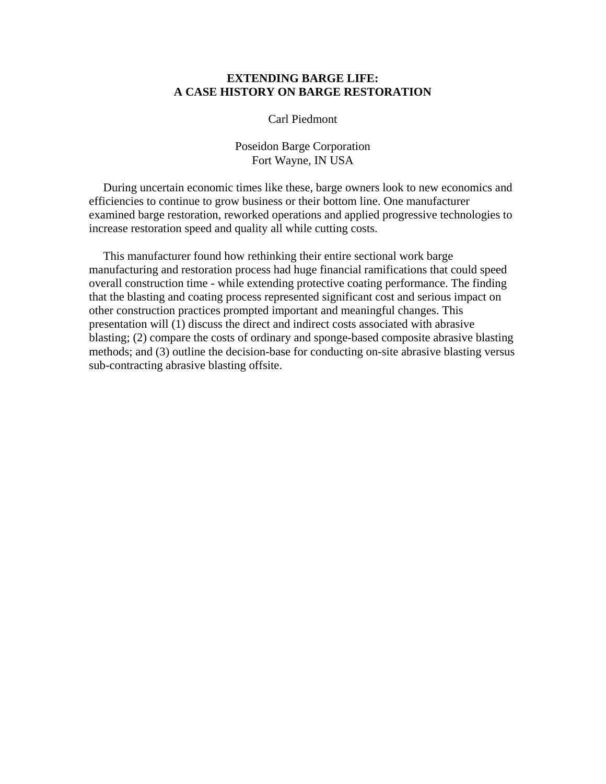# **EXTENDING BARGE LIFE: A CASE HISTORY ON BARGE RESTORATION**

## Carl Piedmont

# Poseidon Barge Corporation Fort Wayne, IN USA

During uncertain economic times like these, barge owners look to new economics and efficiencies to continue to grow business or their bottom line. One manufacturer examined barge restoration, reworked operations and applied progressive technologies to increase restoration speed and quality all while cutting costs.

This manufacturer found how rethinking their entire sectional work barge manufacturing and restoration process had huge financial ramifications that could speed overall construction time - while extending protective coating performance. The finding that the blasting and coating process represented significant cost and serious impact on other construction practices prompted important and meaningful changes. This presentation will (1) discuss the direct and indirect costs associated with abrasive blasting; (2) compare the costs of ordinary and sponge-based composite abrasive blasting methods; and (3) outline the decision-base for conducting on-site abrasive blasting versus sub-contracting abrasive blasting offsite.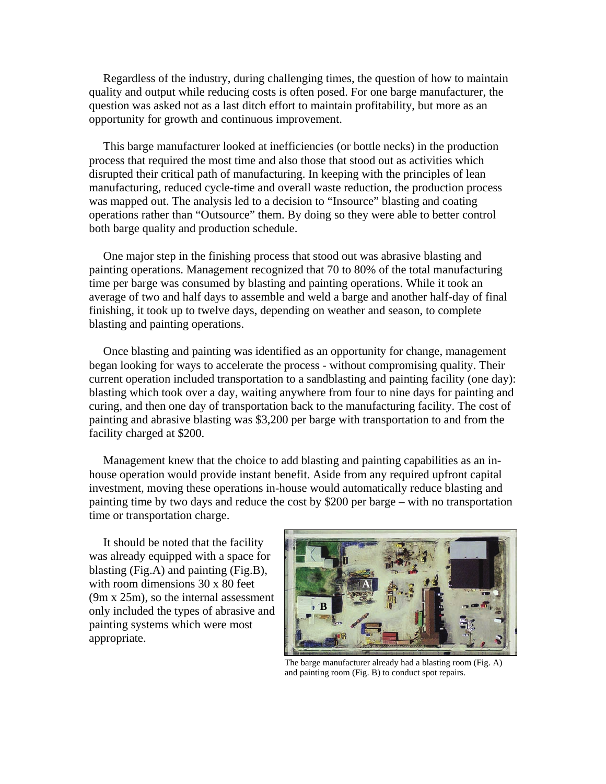Regardless of the industry, during challenging times, the question of how to maintain quality and output while reducing costs is often posed. For one barge manufacturer, the question was asked not as a last ditch effort to maintain profitability, but more as an opportunity for growth and continuous improvement.

This barge manufacturer looked at inefficiencies (or bottle necks) in the production process that required the most time and also those that stood out as activities which disrupted their critical path of manufacturing. In keeping with the principles of lean manufacturing, reduced cycle-time and overall waste reduction, the production process was mapped out. The analysis led to a decision to "Insource" blasting and coating operations rather than "Outsource" them. By doing so they were able to better control both barge quality and production schedule.

One major step in the finishing process that stood out was abrasive blasting and painting operations. Management recognized that 70 to 80% of the total manufacturing time per barge was consumed by blasting and painting operations. While it took an average of two and half days to assemble and weld a barge and another half-day of final finishing, it took up to twelve days, depending on weather and season, to complete blasting and painting operations.

Once blasting and painting was identified as an opportunity for change, management began looking for ways to accelerate the process - without compromising quality. Their current operation included transportation to a sandblasting and painting facility (one day): blasting which took over a day, waiting anywhere from four to nine days for painting and curing, and then one day of transportation back to the manufacturing facility. The cost of painting and abrasive blasting was \$3,200 per barge with transportation to and from the facility charged at \$200.

Management knew that the choice to add blasting and painting capabilities as an inhouse operation would provide instant benefit. Aside from any required upfront capital investment, moving these operations in-house would automatically reduce blasting and painting time by two days and reduce the cost by \$200 per barge – with no transportation time or transportation charge.

It should be noted that the facility was already equipped with a space for blasting (Fig.A) and painting (Fig.B), with room dimensions 30 x 80 feet (9m x 25m), so the internal assessment only included the types of abrasive and painting systems which were most appropriate.



The barge manufacturer already had a blasting room (Fig. A) and painting room (Fig. B) to conduct spot repairs.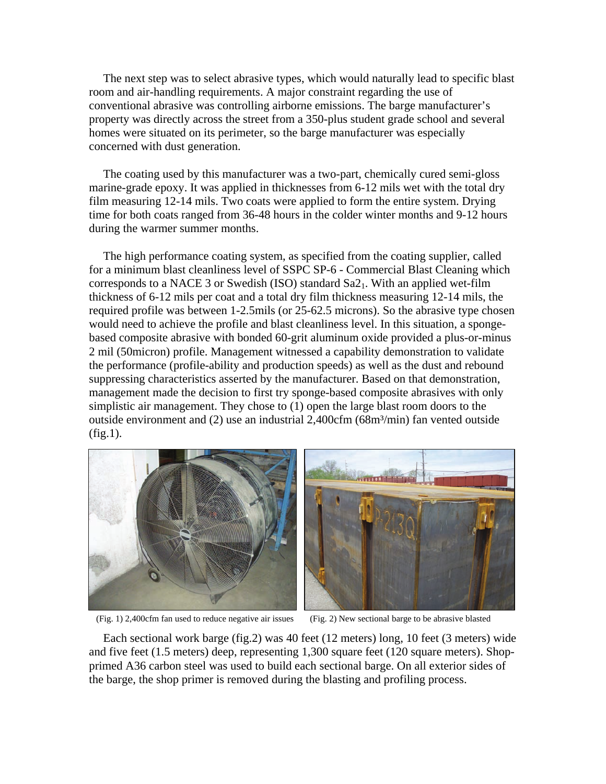The next step was to select abrasive types, which would naturally lead to specific blast room and air-handling requirements. A major constraint regarding the use of conventional abrasive was controlling airborne emissions. The barge manufacturer's property was directly across the street from a 350-plus student grade school and several homes were situated on its perimeter, so the barge manufacturer was especially concerned with dust generation.

The coating used by this manufacturer was a two-part, chemically cured semi-gloss marine-grade epoxy. It was applied in thicknesses from 6-12 mils wet with the total dry film measuring 12-14 mils. Two coats were applied to form the entire system. Drying time for both coats ranged from 36-48 hours in the colder winter months and 9-12 hours during the warmer summer months.

The high performance coating system, as specified from the coating supplier, called for a minimum blast cleanliness level of SSPC SP-6 - Commercial Blast Cleaning which corresponds to a NACE 3 or Swedish (ISO) standard  $Sa2<sub>1</sub>$ . With an applied wet-film thickness of 6-12 mils per coat and a total dry film thickness measuring 12-14 mils, the required profile was between 1-2.5mils (or 25-62.5 microns). So the abrasive type chosen would need to achieve the profile and blast cleanliness level. In this situation, a spongebased composite abrasive with bonded 60-grit aluminum oxide provided a plus-or-minus 2 mil (50micron) profile. Management witnessed a capability demonstration to validate the performance (profile-ability and production speeds) as well as the dust and rebound suppressing characteristics asserted by the manufacturer. Based on that demonstration, management made the decision to first try sponge-based composite abrasives with only simplistic air management. They chose to (1) open the large blast room doors to the outside environment and (2) use an industrial 2,400cfm (68m³/min) fan vented outside (fig.1).



(Fig. 1) 2,400cfm fan used to reduce negative air issues (Fig. 2) New sectional barge to be abrasive blasted



Each sectional work barge (fig.2) was 40 feet (12 meters) long, 10 feet (3 meters) wide and five feet (1.5 meters) deep, representing 1,300 square feet (120 square meters). Shopprimed A36 carbon steel was used to build each sectional barge. On all exterior sides of the barge, the shop primer is removed during the blasting and profiling process.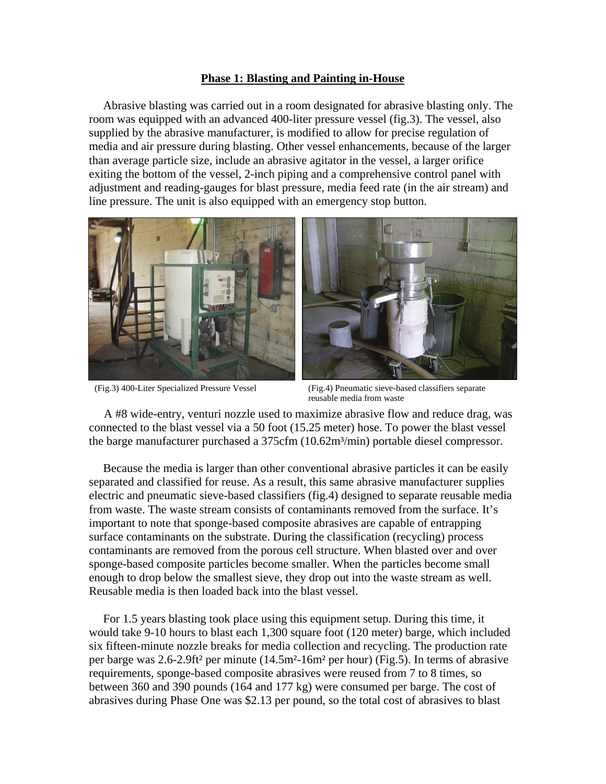## **Phase 1: Blasting and Painting in-House**

Abrasive blasting was carried out in a room designated for abrasive blasting only. The room was equipped with an advanced 400-liter pressure vessel (fig.3). The vessel, also supplied by the abrasive manufacturer, is modified to allow for precise regulation of media and air pressure during blasting. Other vessel enhancements, because of the larger than average particle size, include an abrasive agitator in the vessel, a larger orifice exiting the bottom of the vessel, 2-inch piping and a comprehensive control panel with adjustment and reading-gauges for blast pressure, media feed rate (in the air stream) and line pressure. The unit is also equipped with an emergency stop button.





(Fig.3) 400-Liter Specialized Pressure Vessel (Fig.4) Pneumatic sieve-based classifiers separate reusable media from waste

 A #8 wide-entry, venturi nozzle used to maximize abrasive flow and reduce drag, was connected to the blast vessel via a 50 foot (15.25 meter) hose. To power the blast vessel the barge manufacturer purchased a 375cfm (10.62m<sup>3</sup>/min) portable diesel compressor.

Because the media is larger than other conventional abrasive particles it can be easily separated and classified for reuse. As a result, this same abrasive manufacturer supplies electric and pneumatic sieve-based classifiers (fig.4) designed to separate reusable media from waste. The waste stream consists of contaminants removed from the surface. It's important to note that sponge-based composite abrasives are capable of entrapping surface contaminants on the substrate. During the classification (recycling) process contaminants are removed from the porous cell structure. When blasted over and over sponge-based composite particles become smaller. When the particles become small enough to drop below the smallest sieve, they drop out into the waste stream as well. Reusable media is then loaded back into the blast vessel.

For 1.5 years blasting took place using this equipment setup. During this time, it would take 9-10 hours to blast each 1,300 square foot (120 meter) barge, which included six fifteen-minute nozzle breaks for media collection and recycling. The production rate per barge was 2.6-2.9ft² per minute (14.5m²-16m² per hour) (Fig.5). In terms of abrasive requirements, sponge-based composite abrasives were reused from 7 to 8 times, so between 360 and 390 pounds (164 and 177 kg) were consumed per barge. The cost of abrasives during Phase One was \$2.13 per pound, so the total cost of abrasives to blast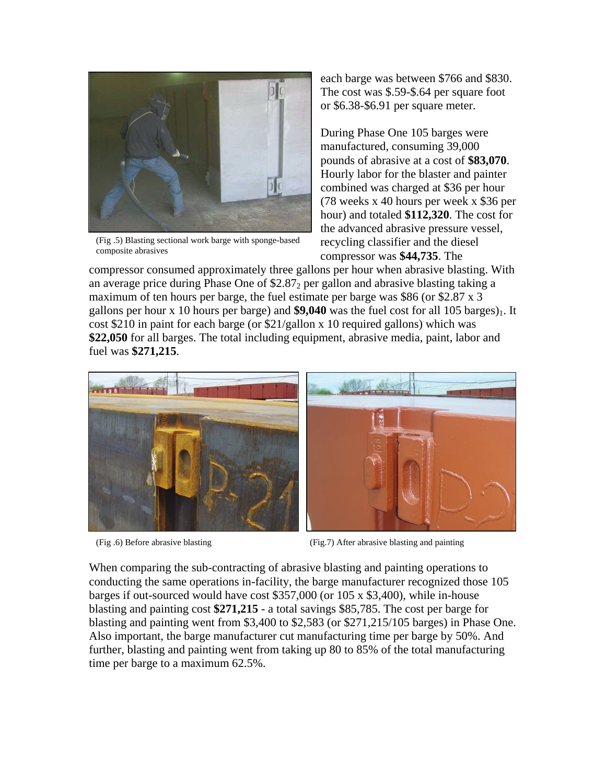

(Fig .5) Blasting sectional work barge with sponge-based composite abrasives

each barge was between \$766 and \$830. The cost was \$.59-\$.64 per square foot or \$6.38-\$6.91 per square meter.

During Phase One 105 barges were manufactured, consuming 39,000 pounds of abrasive at a cost of **\$83,070**. Hourly labor for the blaster and painter combined was charged at \$36 per hour (78 weeks x 40 hours per week x \$36 per hour) and totaled **\$112,320**. The cost for the advanced abrasive pressure vessel, recycling classifier and the diesel compressor was **\$44,735**. The

compressor consumed approximately three gallons per hour when abrasive blasting. With an average price during Phase One of  $$2.87<sub>2</sub>$  per gallon and abrasive blasting taking a maximum of ten hours per barge, the fuel estimate per barge was \$86 (or \$2.87 x 3) gallons per hour  $x$  10 hours per barge) and  $$9,040$  was the fuel cost for all 105 barges)<sub>1</sub>. It cost \$210 in paint for each barge (or \$21/gallon x 10 required gallons) which was **\$22,050** for all barges. The total including equipment, abrasive media, paint, labor and fuel was **\$271,215**.



(Fig .6) Before abrasive blasting (Fig.7) After abrasive blasting and painting

When comparing the sub-contracting of abrasive blasting and painting operations to conducting the same operations in-facility, the barge manufacturer recognized those 105 barges if out-sourced would have cost \$357,000 (or 105 x \$3,400), while in-house blasting and painting cost **\$271,215** - a total savings \$85,785. The cost per barge for blasting and painting went from \$3,400 to \$2,583 (or \$271,215/105 barges) in Phase One. Also important, the barge manufacturer cut manufacturing time per barge by 50%. And further, blasting and painting went from taking up 80 to 85% of the total manufacturing time per barge to a maximum 62.5%.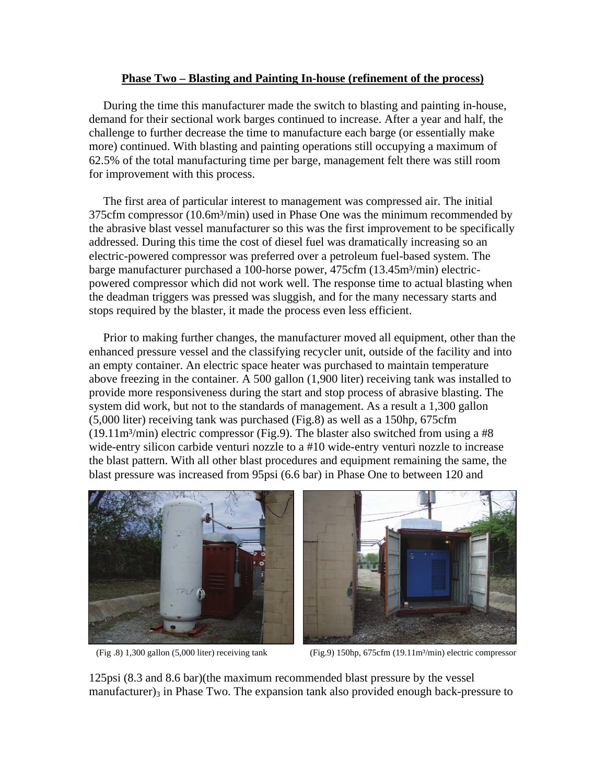# **Phase Two – Blasting and Painting In-house (refinement of the process)**

During the time this manufacturer made the switch to blasting and painting in-house, demand for their sectional work barges continued to increase. After a year and half, the challenge to further decrease the time to manufacture each barge (or essentially make more) continued. With blasting and painting operations still occupying a maximum of 62.5% of the total manufacturing time per barge, management felt there was still room for improvement with this process.

The first area of particular interest to management was compressed air. The initial 375cfm compressor (10.6m<sup>3</sup>/min) used in Phase One was the minimum recommended by the abrasive blast vessel manufacturer so this was the first improvement to be specifically addressed. During this time the cost of diesel fuel was dramatically increasing so an electric-powered compressor was preferred over a petroleum fuel-based system. The barge manufacturer purchased a 100-horse power, 475cfm (13.45m<sup>3</sup>/min) electricpowered compressor which did not work well. The response time to actual blasting when the deadman triggers was pressed was sluggish, and for the many necessary starts and stops required by the blaster, it made the process even less efficient.

Prior to making further changes, the manufacturer moved all equipment, other than the enhanced pressure vessel and the classifying recycler unit, outside of the facility and into an empty container. An electric space heater was purchased to maintain temperature above freezing in the container. A 500 gallon (1,900 liter) receiving tank was installed to provide more responsiveness during the start and stop process of abrasive blasting. The system did work, but not to the standards of management. As a result a 1,300 gallon (5,000 liter) receiving tank was purchased (Fig.8) as well as a 150hp, 675cfm  $(19.11m<sup>3</sup>/min)$  electric compressor (Fig.9). The blaster also switched from using a #8 wide-entry silicon carbide venturi nozzle to a #10 wide-entry venturi nozzle to increase the blast pattern. With all other blast procedures and equipment remaining the same, the blast pressure was increased from 95psi (6.6 bar) in Phase One to between 120 and





(Fig .8) 1,300 gallon (5,000 liter) receiving tank (Fig.9) 150hp, 675cfm (19.11m³/min) electric compressor

125psi (8.3 and 8.6 bar)(the maximum recommended blast pressure by the vessel manufacturer) $_3$  in Phase Two. The expansion tank also provided enough back-pressure to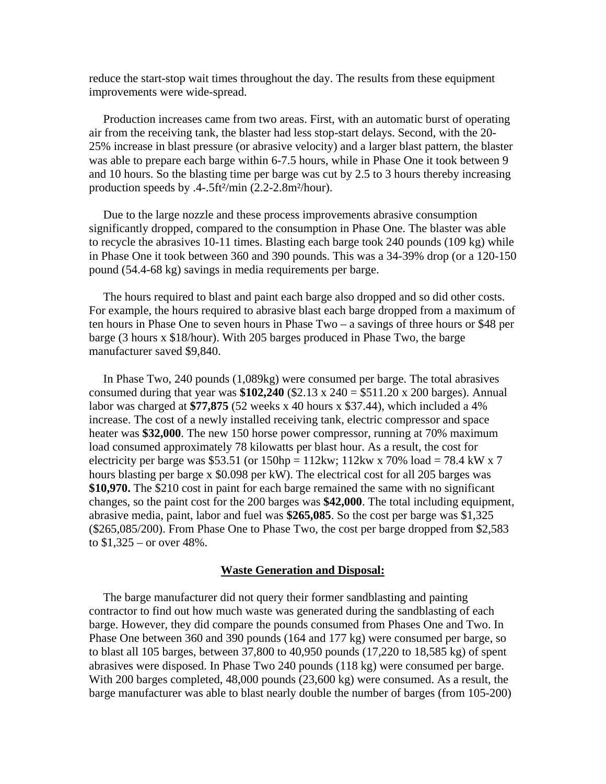reduce the start-stop wait times throughout the day. The results from these equipment improvements were wide-spread.

Production increases came from two areas. First, with an automatic burst of operating air from the receiving tank, the blaster had less stop-start delays. Second, with the 20- 25% increase in blast pressure (or abrasive velocity) and a larger blast pattern, the blaster was able to prepare each barge within 6-7.5 hours, while in Phase One it took between 9 and 10 hours. So the blasting time per barge was cut by 2.5 to 3 hours thereby increasing production speeds by .4-.5ft²/min (2.2-2.8m²/hour).

Due to the large nozzle and these process improvements abrasive consumption significantly dropped, compared to the consumption in Phase One. The blaster was able to recycle the abrasives 10-11 times. Blasting each barge took 240 pounds (109 kg) while in Phase One it took between 360 and 390 pounds. This was a 34-39% drop (or a 120-150 pound (54.4-68 kg) savings in media requirements per barge.

The hours required to blast and paint each barge also dropped and so did other costs. For example, the hours required to abrasive blast each barge dropped from a maximum of ten hours in Phase One to seven hours in Phase Two – a savings of three hours or \$48 per barge (3 hours x \$18/hour). With 205 barges produced in Phase Two, the barge manufacturer saved \$9,840.

In Phase Two, 240 pounds (1,089kg) were consumed per barge. The total abrasives consumed during that year was  $$102,240$  ( $$2.13 \times 240 = $511.20 \times 200$  barges). Annual labor was charged at **\$77,875** (52 weeks x 40 hours x \$37.44), which included a 4% increase. The cost of a newly installed receiving tank, electric compressor and space heater was **\$32,000**. The new 150 horse power compressor, running at 70% maximum load consumed approximately 78 kilowatts per blast hour. As a result, the cost for electricity per barge was \$53.51 (or  $150$ hp =  $112$ kw;  $112$ kw x  $70\%$  load =  $78.4$  kW x  $7$ hours blasting per barge x \$0.098 per kW). The electrical cost for all 205 barges was **\$10,970.** The \$210 cost in paint for each barge remained the same with no significant changes, so the paint cost for the 200 barges was **\$42,000**. The total including equipment, abrasive media, paint, labor and fuel was **\$265,085**. So the cost per barge was \$1,325 (\$265,085/200). From Phase One to Phase Two, the cost per barge dropped from \$2,583 to  $$1,325 -$  or over 48%.

#### **Waste Generation and Disposal:**

The barge manufacturer did not query their former sandblasting and painting contractor to find out how much waste was generated during the sandblasting of each barge. However, they did compare the pounds consumed from Phases One and Two. In Phase One between 360 and 390 pounds (164 and 177 kg) were consumed per barge, so to blast all 105 barges, between 37,800 to 40,950 pounds (17,220 to 18,585 kg) of spent abrasives were disposed. In Phase Two 240 pounds (118 kg) were consumed per barge. With 200 barges completed, 48,000 pounds (23,600 kg) were consumed. As a result, the barge manufacturer was able to blast nearly double the number of barges (from 105-200)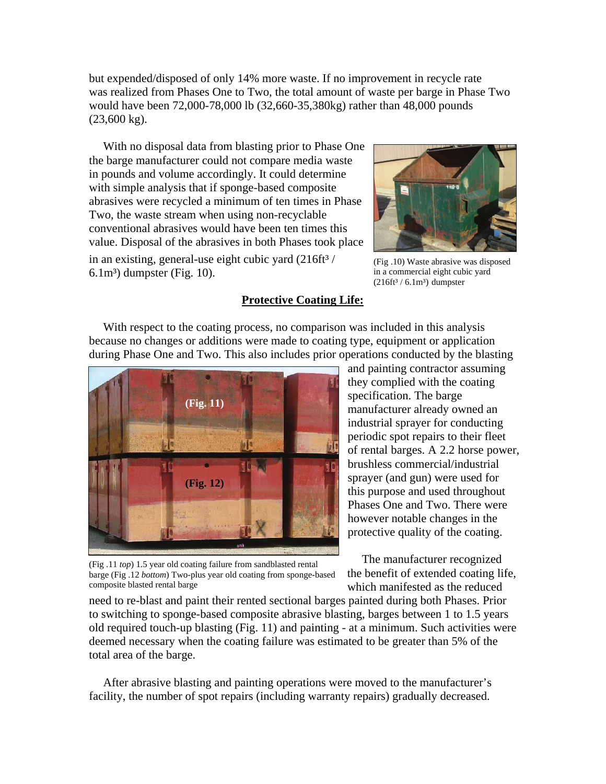but expended/disposed of only 14% more waste. If no improvement in recycle rate was realized from Phases One to Two, the total amount of waste per barge in Phase Two would have been 72,000-78,000 lb (32,660-35,380kg) rather than 48,000 pounds (23,600 kg).

With no disposal data from blasting prior to Phase One the barge manufacturer could not compare media waste in pounds and volume accordingly. It could determine with simple analysis that if sponge-based composite abrasives were recycled a minimum of ten times in Phase Two, the waste stream when using non-recyclable conventional abrasives would have been ten times this value. Disposal of the abrasives in both Phases took place in an existing, general-use eight cubic yard  $(216ft<sup>3</sup>)$  $6.1m<sup>3</sup>$ ) dumpster (Fig. 10).



(Fig .10) Waste abrasive was disposed in a commercial eight cubic yard  $(216ft<sup>3</sup> / 6.1m<sup>3</sup>)$  dumpster

## **Protective Coating Life:**

With respect to the coating process, no comparison was included in this analysis because no changes or additions were made to coating type, equipment or application during Phase One and Two. This also includes prior operations conducted by the blasting



and painting contractor assuming they complied with the coating specification. The barge manufacturer already owned an industrial sprayer for conducting periodic spot repairs to their fleet of rental barges. A 2.2 horse power, brushless commercial/industrial sprayer (and gun) were used for this purpose and used throughout Phases One and Two. There were however notable changes in the protective quality of the coating.

(Fig .11 *top*) 1.5 year old coating failure from sandblasted rental barge (Fig .12 *bottom*) Two-plus year old coating from sponge-based composite blasted rental barge

The manufacturer recognized the benefit of extended coating life, which manifested as the reduced

need to re-blast and paint their rented sectional barges painted during both Phases. Prior to switching to sponge-based composite abrasive blasting, barges between 1 to 1.5 years old required touch-up blasting (Fig. 11) and painting - at a minimum. Such activities were deemed necessary when the coating failure was estimated to be greater than 5% of the total area of the barge.

After abrasive blasting and painting operations were moved to the manufacturer's facility, the number of spot repairs (including warranty repairs) gradually decreased.